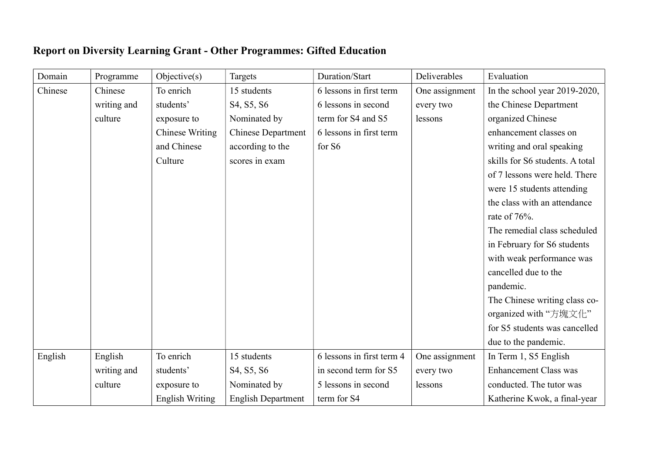## Report on Diversity Learning Grant - Other Programmes: Gifted Education

| Domain  | Programme   | Objective(s)           | Targets                   | Duration/Start            | Deliverables   | Evaluation                      |
|---------|-------------|------------------------|---------------------------|---------------------------|----------------|---------------------------------|
| Chinese | Chinese     | To enrich              | 15 students               | 6 lessons in first term   | One assignment | In the school year 2019-2020,   |
|         | writing and | students'              | S4, S5, S6                | 6 lessons in second       | every two      | the Chinese Department          |
|         | culture     | exposure to            | Nominated by              | term for S4 and S5        | lessons        | organized Chinese               |
|         |             | <b>Chinese Writing</b> | <b>Chinese Department</b> | 6 lessons in first term   |                | enhancement classes on          |
|         |             | and Chinese            | according to the          | for S6                    |                | writing and oral speaking       |
|         |             | Culture                | scores in exam            |                           |                | skills for S6 students. A total |
|         |             |                        |                           |                           |                | of 7 lessons were held. There   |
|         |             |                        |                           |                           |                | were 15 students attending      |
|         |             |                        |                           |                           |                | the class with an attendance    |
|         |             |                        |                           |                           |                | rate of 76%.                    |
|         |             |                        |                           |                           |                | The remedial class scheduled    |
|         |             |                        |                           |                           |                | in February for S6 students     |
|         |             |                        |                           |                           |                | with weak performance was       |
|         |             |                        |                           |                           |                | cancelled due to the            |
|         |             |                        |                           |                           |                | pandemic.                       |
|         |             |                        |                           |                           |                | The Chinese writing class co-   |
|         |             |                        |                           |                           |                | organized with "方塊文化"           |
|         |             |                        |                           |                           |                | for S5 students was cancelled   |
|         |             |                        |                           |                           |                | due to the pandemic.            |
| English | English     | To enrich              | 15 students               | 6 lessons in first term 4 | One assignment | In Term 1, S5 English           |
|         | writing and | students'              | S4, S5, S6                | in second term for S5     | every two      | <b>Enhancement Class was</b>    |
|         | culture     | exposure to            | Nominated by              | 5 lessons in second       | lessons        | conducted. The tutor was        |
|         |             | <b>English Writing</b> | <b>English Department</b> | term for S4               |                | Katherine Kwok, a final-year    |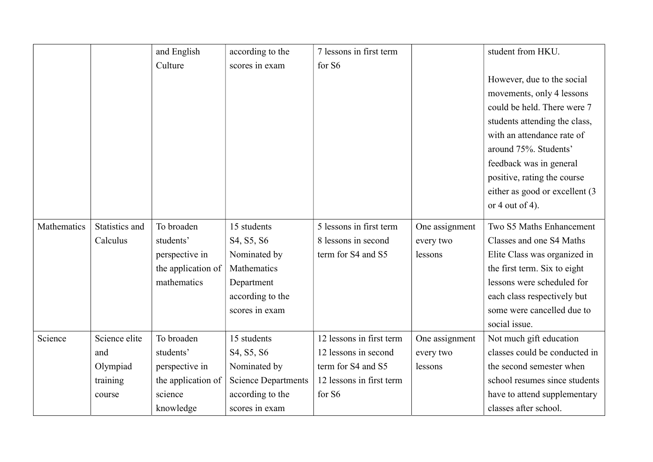|             |                | and English        | according to the           | 7 lessons in first term  |                | student from HKU.               |
|-------------|----------------|--------------------|----------------------------|--------------------------|----------------|---------------------------------|
|             |                | Culture            | scores in exam             | for S6                   |                |                                 |
|             |                |                    |                            |                          |                | However, due to the social      |
|             |                |                    |                            |                          |                | movements, only 4 lessons       |
|             |                |                    |                            |                          |                | could be held. There were 7     |
|             |                |                    |                            |                          |                | students attending the class,   |
|             |                |                    |                            |                          |                | with an attendance rate of      |
|             |                |                    |                            |                          |                | around 75%. Students'           |
|             |                |                    |                            |                          |                | feedback was in general         |
|             |                |                    |                            |                          |                | positive, rating the course     |
|             |                |                    |                            |                          |                | either as good or excellent (3) |
|             |                |                    |                            |                          |                | or 4 out of 4).                 |
| Mathematics | Statistics and | To broaden         | 15 students                | 5 lessons in first term  | One assignment | Two S5 Maths Enhancement        |
|             | Calculus       | students'          | S4, S5, S6                 | 8 lessons in second      | every two      | Classes and one S4 Maths        |
|             |                | perspective in     | Nominated by               | term for S4 and S5       | lessons        | Elite Class was organized in    |
|             |                | the application of | Mathematics                |                          |                | the first term. Six to eight    |
|             |                | mathematics        | Department                 |                          |                | lessons were scheduled for      |
|             |                |                    | according to the           |                          |                | each class respectively but     |
|             |                |                    | scores in exam             |                          |                | some were cancelled due to      |
|             |                |                    |                            |                          |                | social issue.                   |
| Science     | Science elite  | To broaden         | 15 students                | 12 lessons in first term | One assignment | Not much gift education         |
|             | and            | students'          | S4, S5, S6                 | 12 lessons in second     | every two      | classes could be conducted in   |
|             | Olympiad       | perspective in     | Nominated by               | term for S4 and S5       | lessons        | the second semester when        |
|             | training       | the application of | <b>Science Departments</b> | 12 lessons in first term |                | school resumes since students   |
|             | course         | science            | according to the           | for S6                   |                | have to attend supplementary    |
|             |                | knowledge          | scores in exam             |                          |                | classes after school.           |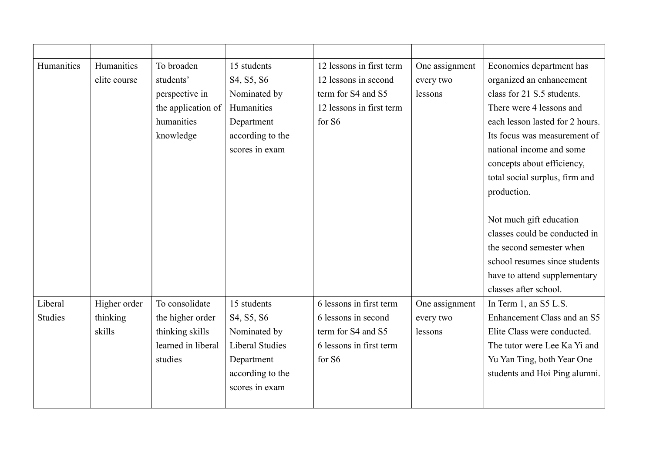| Humanities     | Humanities   | To broaden         | 15 students            | 12 lessons in first term | One assignment | Economics department has        |
|----------------|--------------|--------------------|------------------------|--------------------------|----------------|---------------------------------|
|                | elite course | students'          | S4, S5, S6             | 12 lessons in second     | every two      | organized an enhancement        |
|                |              | perspective in     | Nominated by           | term for S4 and S5       | lessons        | class for 21 S.5 students.      |
|                |              | the application of | Humanities             | 12 lessons in first term |                | There were 4 lessons and        |
|                |              | humanities         | Department             | for S6                   |                | each lesson lasted for 2 hours. |
|                |              | knowledge          | according to the       |                          |                | Its focus was measurement of    |
|                |              |                    | scores in exam         |                          |                | national income and some        |
|                |              |                    |                        |                          |                | concepts about efficiency,      |
|                |              |                    |                        |                          |                | total social surplus, firm and  |
|                |              |                    |                        |                          |                | production.                     |
|                |              |                    |                        |                          |                |                                 |
|                |              |                    |                        |                          |                | Not much gift education         |
|                |              |                    |                        |                          |                | classes could be conducted in   |
|                |              |                    |                        |                          |                | the second semester when        |
|                |              |                    |                        |                          |                | school resumes since students   |
|                |              |                    |                        |                          |                | have to attend supplementary    |
|                |              |                    |                        |                          |                | classes after school.           |
| Liberal        | Higher order | To consolidate     | 15 students            | 6 lessons in first term  | One assignment | In Term 1, an S5 L.S.           |
| <b>Studies</b> | thinking     | the higher order   | S4, S5, S6             | 6 lessons in second      | every two      | Enhancement Class and an S5     |
|                | skills       | thinking skills    | Nominated by           | term for S4 and S5       | lessons        | Elite Class were conducted.     |
|                |              | learned in liberal | <b>Liberal Studies</b> | 6 lessons in first term  |                | The tutor were Lee Ka Yi and    |
|                |              | studies            | Department             | for S6                   |                | Yu Yan Ting, both Year One      |
|                |              |                    | according to the       |                          |                | students and Hoi Ping alumni.   |
|                |              |                    | scores in exam         |                          |                |                                 |
|                |              |                    |                        |                          |                |                                 |